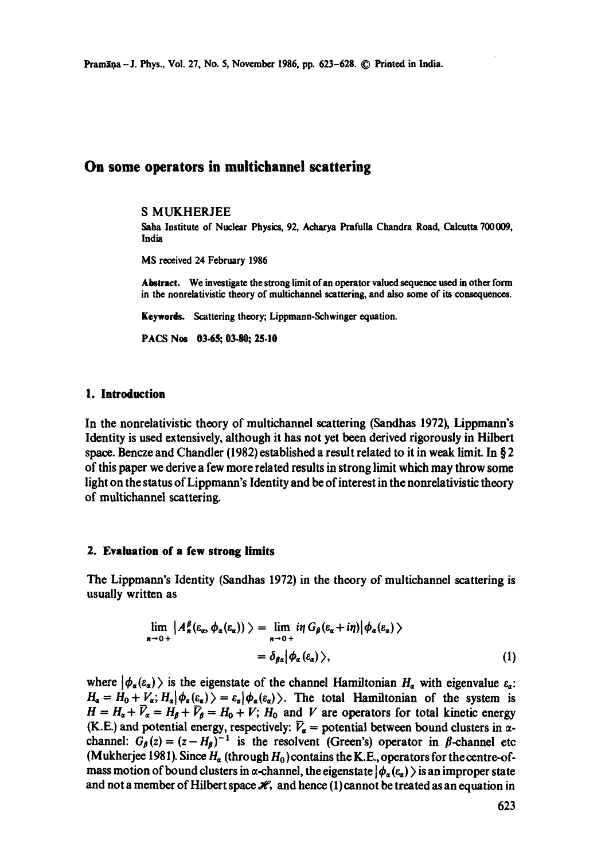Pramana -- J. Phys., Vol. 27, No. 5, November 1986, pp. 623-628. © Printed in India.

# **On some operators in multichannel scattering**

#### S MUKHERJEE

Saha Institute of Nuclear Physics, 92, Acharya Prafulla Chandra Road, Calcutta 700009, India

MS received 24 February 1986

Abstract. We investigate the strong limit of an operator valued sequence used in other form in the nonrelativistic theory of multichannel scattering, and also some of its consequences.

Keywerds. Scattering theory; Lippmann-Schwinger equation.

PACS Nos 03-65: 03-80: 25-10

### **1. Introduction**

In the nonrelativistic theory of multichannel scattering (Sandhas 1972), Lippmann's Identity is used extensively, although it has not yet been derived rigorously in Hilbert space. Bencze and Chandler (1982) established a result related to it in weak limit. In § 2 of this paper we derive a few more related results in strong limit which may throw some light on the status of Lippmann's Identity and be of interest in the nonrelativistic theory of multichannel scattering.

#### **2. Evaluation of a few strong limits**

The Lippmann's Identity (Sandhas 1972) in the theory of multichannel scattering is usually written as

$$
\lim_{n \to 0+} |A_n^{\beta}(\varepsilon_\alpha, \phi_\alpha(\varepsilon_\alpha)) \rangle = \lim_{n \to 0+} i\eta \, G_\beta(\varepsilon_\alpha + i\eta) | \phi_\alpha(\varepsilon_\alpha) \rangle
$$
  
=  $\delta_{\beta\alpha} | \phi_\alpha(\varepsilon_\alpha) \rangle,$  (1)

where  $|\phi_{\alpha}(\varepsilon_{\alpha})\rangle$  is the eigenstate of the channel Hamiltonian  $H_{\alpha}$  with eigenvalue  $\varepsilon_{\alpha}$ .  $H_{\alpha} = H_0 + V_{\alpha}$ ;  $H_{\alpha}|\phi_{\alpha}(\varepsilon_{\alpha})\rangle = \varepsilon_{\alpha}|\phi_{\alpha}(\varepsilon_{\alpha})\rangle$ . The total Hamiltonian of the system is  $H = H_a + \bar{V}_a = H_b + \bar{V}_b = H_0 + V$ ;  $H_0$  and V are operators for total kinetic energy (K.E.) and potential energy, respectively:  $\bar{V}_{\alpha}$  = potential between bound clusters in  $\alpha$ channel:  $G_{\beta}(z) = (z - H_{\beta})^{-1}$  is the resolvent (Green's) operator in  $\beta$ -channel etc (Mukherjee 1981). Since  $H_a$  (through  $H_0$ ) contains the K.E., operators for the centre-ofmass motion of bound clusters in  $\alpha$ -channel, the eigenstate  $|\phi_{\alpha}(\epsilon_{\alpha})\rangle$  is an improper state and not a member of Hilbert space  $\mathcal{H}$ , and hence (1) cannot be treated as an equation in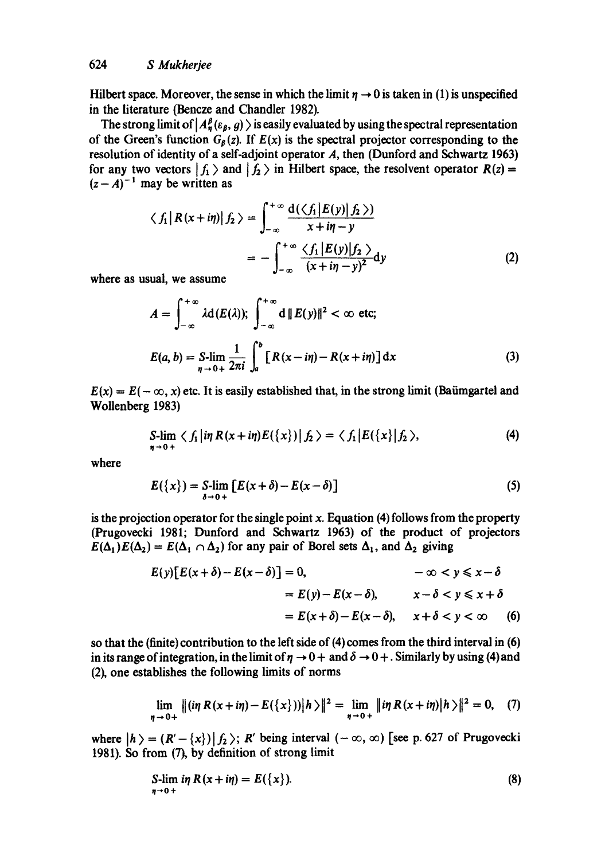Hilbert space. Moreover, the sense in which the limit  $\eta \rightarrow 0$  is taken in (1) is unspecified in the literature (Bencze and Chandler 1982).

The strong limit of  $|A_n^{\beta}(\varepsilon_{\beta}, g) \rangle$  is easily evaluated by using the spectral representation of the Green's function  $G_{\beta}(z)$ . If  $E(x)$  is the spectral projector corresponding to the resolution of identity of a self-adjoint operator A, then (Dunford and Schwartz 1963) for any two vectors  $|f_1\rangle$  and  $|f_2\rangle$  in Hilbert space, the resolvent operator  $R(z)$  =  $(z - A)^{-1}$  may be written as

$$
\langle f_1 | R(x+i\eta) | f_2 \rangle = \int_{-\infty}^{+\infty} \frac{d(\langle f_1 | E(y) | f_2 \rangle)}{x+i\eta-y}
$$

$$
= -\int_{-\infty}^{+\infty} \frac{\langle f_1 | E(y) | f_2 \rangle}{(x+i\eta-y)^2} dy \tag{2}
$$

where as usual, we assume

$$
A = \int_{-\infty}^{+\infty} \lambda \mathbf{d}(E(\lambda)); \int_{-\infty}^{+\infty} \mathbf{d} ||E(y)||^2 < \infty \text{ etc;}
$$
  

$$
E(a, b) = \mathbf{S}\text{-lim}_{\eta \to 0+} \frac{1}{2\pi i} \int_a^b [R(x - i\eta) - R(x + i\eta)] dx
$$
 (3)

 $E(x) = E(-\infty, x)$  etc. It is easily established that, in the strong limit (Baümgartel and Wollenberg 1983)

$$
S-lim \langle f_1 | i\eta R(x+i\eta) E({x}) | f_2 \rangle = \langle f_1 | E({x}) | f_2 \rangle, \tag{4}
$$

where

$$
E({x}) = S\text{-lim}_{\delta \to 0+} [E(x+\delta) - E(x-\delta)] \tag{5}
$$

is the projection operator for the single point  $x$ . Equation (4) follows from the property (Prugovecki 1981; Dunford and Schwartz 1963) of the product of projectors  $E(\Delta_1)E(\Delta_2) = E(\Delta_1 \cap \Delta_2)$  for any pair of Borel sets  $\Delta_1$ , and  $\Delta_2$  giving

$$
E(y)[E(x+\delta)-E(x-\delta)] = 0, \qquad -\infty < y \leq x-\delta
$$
  
=  $E(y)-E(x-\delta), \qquad x-\delta < y \leq x+\delta$   
=  $E(x+\delta)-E(x-\delta), \qquad x+\delta < y < \infty$  (6)

so that the (finite) contribution to the left side of (4) comes from the third interval in (6) in its range of integration, in the limit of  $\eta \rightarrow 0+$  and  $\delta \rightarrow 0+$ . Similarly by using (4) and (2), one establishes the following limits of norms

$$
\lim_{\eta \to 0+} \| (\text{i} \eta \, R(x+\text{i} \eta) - E(\{x\})) \| h \rangle \|^2 = \lim_{\eta \to 0+} \| \text{i} \eta \, R(x+\text{i} \eta) \| h \rangle \|^2 = 0, \quad (7)
$$

where  $|h \rangle = (R' - \{x\}) | f_2 \rangle$ ; R' being interval  $(-\infty, \infty)$  [see p. 627 of Prugovecki 1981). So from (7), by definition of strong limit

$$
\text{S-lim } \mathop{in} R(x+i\eta) = E(\{x\}).\tag{8}
$$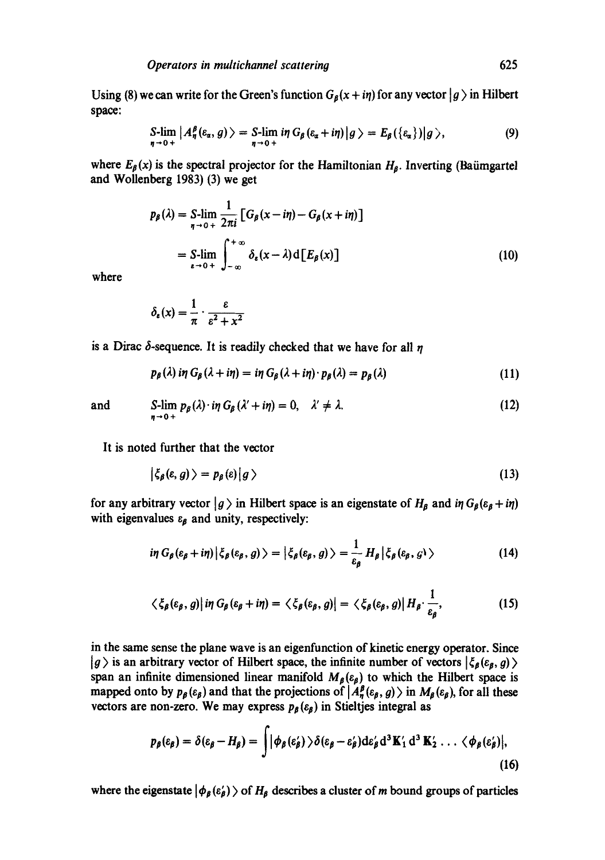Using (8) we can write for the Green's function  $G_{\beta}(x + i\eta)$  for any vector  $|g\rangle$  in Hilbert space:

$$
S\text{-lim}_{\eta\to 0+} |A_{\eta}^{\beta}(\varepsilon_{\alpha}, g)\rangle = S\text{-lim} \inf_{\eta\to 0+} G_{\beta}(\varepsilon_{\alpha}+i\eta) |g\rangle = E_{\beta}(\{\varepsilon_{\alpha}\}) |g\rangle, \tag{9}
$$

where  $E_{\beta}(x)$  is the spectral projector for the Hamiltonian  $H_{\beta}$ . Inverting (Baümgartel and Wollenberg 1983) (3) we get

$$
p_{\beta}(\lambda) = \sum_{\eta \to 0+} \lim_{\eta \to 0+} \frac{1}{2\pi i} \left[ G_{\beta}(x - i\eta) - G_{\beta}(x + i\eta) \right]
$$
  
= 
$$
\sum_{\epsilon \to 0+} \lim_{\eta \to 0+} \int_{-\infty}^{+\infty} \delta_{\epsilon}(x - \lambda) d \left[ E_{\beta}(x) \right]
$$
 (10)

where

$$
\delta_{\varepsilon}(x) = \frac{1}{\pi} \cdot \frac{\varepsilon}{\varepsilon^2 + x^2}
$$

is a Dirac  $\delta$ -sequence. It is readily checked that we have for all n

$$
p_{\beta}(\lambda) \text{ in } G_{\beta}(\lambda + \text{in}) = \text{ in } G_{\beta}(\lambda + \text{in}) \cdot p_{\beta}(\lambda) = p_{\beta}(\lambda) \tag{11}
$$

and 
$$
\lim_{\eta \to 0+} p_{\beta}(\lambda) \cdot i\eta \, G_{\beta}(\lambda' + i\eta) = 0, \quad \lambda' \neq \lambda.
$$
 (12)

It is noted further that the vector

$$
|\zeta_{\beta}(\varepsilon,g)\rangle=p_{\beta}(\varepsilon)|g\rangle \qquad (13)
$$

for any arbitrary vector  $|g\rangle$  in Hilbert space is an eigenstate of  $H_{\beta}$  and in  $G_{\beta}(\varepsilon_{\beta} + i\eta)$ with eigenvalues  $\varepsilon_{\beta}$  and unity, respectively:

$$
i\eta\,G_{\beta}(\varepsilon_{\beta}+i\eta)\big|\zeta_{\beta}(\varepsilon_{\beta}, g)\big\rangle=\big|\zeta_{\beta}(\varepsilon_{\beta}, g)\big\rangle=\frac{1}{\varepsilon_{\beta}}\,H_{\beta}\big|\zeta_{\beta}(\varepsilon_{\beta}, g)\big\rangle\tag{14}
$$

$$
\langle \xi_{\beta}(\varepsilon_{\beta}, g) | \, i \eta \, G_{\beta}(\varepsilon_{\beta} + i \eta) = \langle \xi_{\beta}(\varepsilon_{\beta}, g) | = \langle \xi_{\beta}(\varepsilon_{\beta}, g) | H_{\beta} \cdot \frac{1}{\varepsilon_{\beta}}, \tag{15}
$$

in the same sense the plane wave is an eigenfunction of kinetic energy operator. Since  $|g\rangle$  is an arbitrary vector of Hilbert space, the infinite number of vectors  $|\zeta_{\beta}(\varepsilon_{\beta}, g)\rangle$ span an infinite dimensioned linear manifold  $M_{\beta}(\varepsilon_{\beta})$  to which the Hilbert space is mapped onto by  $p_\beta(\varepsilon_\beta)$  and that the projections of  $|A_n^{\beta}(\varepsilon_\beta, g)\rangle$  in  $M_\beta(\varepsilon_\beta)$ , for all these vectors are non-zero. We may express  $p_{\beta}(\varepsilon_{\beta})$  in Stieltjes integral as

$$
p_{\beta}(\varepsilon_{\beta}) = \delta(\varepsilon_{\beta} - H_{\beta}) = \int |\phi_{\beta}(\varepsilon_{\beta}') \rangle \delta(\varepsilon_{\beta} - \varepsilon_{\beta}') d\varepsilon_{\beta}' d^{3} K'_{1} d^{3} K'_{2} \dots \langle \phi_{\beta}(\varepsilon_{\beta}')|,
$$
\n(16)

where the eigenstate  $|\phi_{\beta}(\varepsilon_{\beta})\rangle$  of  $H_{\beta}$  describes a cluster of m bound groups of particles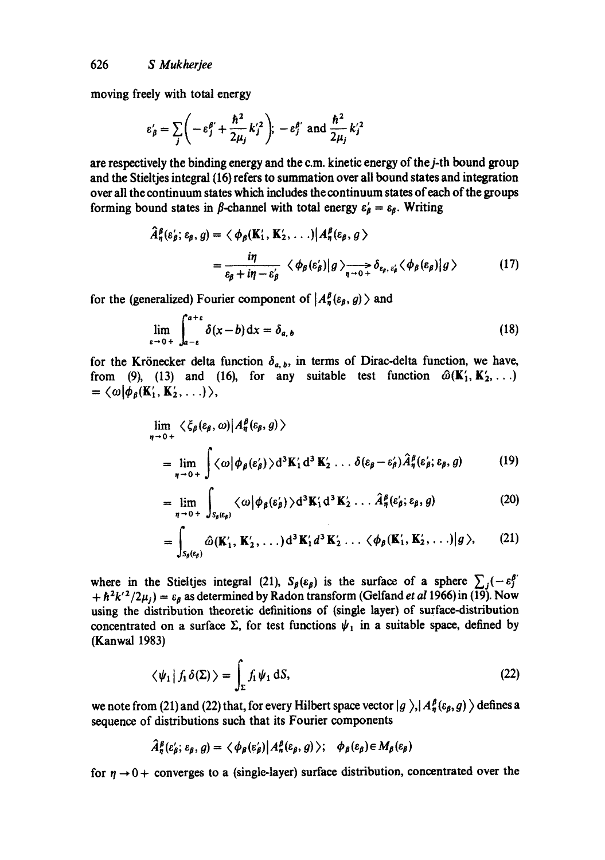moving freely with total energy

$$
\varepsilon'_{\beta} = \sum_{j} \left( -\varepsilon_j^{\beta'} + \frac{\hbar^2}{2\mu_j} k_j'^2 \right); \ -\varepsilon_j^{\beta'} \text{ and } \frac{\hbar^2}{2\mu_j} k_j'^2
$$

are respectively the binding energy and the c.m. kinetic energy of the j-th bound group and the Stieltjes integral (16) refers to summation over all bound states and integration over all the continuum states which includes the continuum states of each of the groups forming bound states in  $\beta$ -channel with total energy  $\varepsilon'_{\beta} = \varepsilon_{\beta}$ . Writing

$$
\hat{A}_{\eta}^{\beta}(\varepsilon_{\beta}'; \varepsilon_{\beta}, g) = \langle \phi_{\beta}(\mathbf{K}'_{1}, \mathbf{K}'_{2}, \ldots) | A_{\eta}^{\beta}(\varepsilon_{\beta}, g) \rangle \n= \frac{i\eta}{\varepsilon_{\beta} + i\eta - \varepsilon_{\beta}'} \langle \phi_{\beta}(\varepsilon'_{\beta}) | g \rangle_{\eta \to 0} \delta_{\varepsilon_{\beta}, \varepsilon'_{\beta}} \langle \phi_{\beta}(\varepsilon_{\beta}) | g \rangle
$$
\n(17)

for the (generalized) Fourier component of  $|A_n^{\beta}(\varepsilon_{\beta}, g)\rangle$  and

$$
\lim_{\varepsilon \to 0+} \int_{a-\varepsilon}^{a+\varepsilon} \delta(x-b) \, \mathrm{d}x = \delta_{a,b} \tag{18}
$$

for the Krönecker delta function  $\delta_{a, b}$ , in terms of Dirac-delta function, we have, from (9), (13) and (16), for any suitable test function  $\hat{\omega}(K'_1, K'_2, \ldots)$  $= \langle \omega | \phi_{\beta}(\mathbf{K}'_1, \mathbf{K}'_2, \ldots) \rangle,$ 

$$
\lim_{\eta \to 0+} \langle \xi_{\beta}(\varepsilon_{\beta}, \omega) | A_{\eta}^{\beta}(\varepsilon_{\beta}, g) \rangle
$$
  
= 
$$
\lim_{\eta \to 0+} \int \langle \omega | \phi_{\beta}(\varepsilon_{\beta}') \rangle d^{3} K'_{1} d^{3} K'_{2} \dots \delta(\varepsilon_{\beta} - \varepsilon_{\beta}') \hat{A}_{\eta}^{\beta}(\varepsilon_{\beta}; \varepsilon_{\beta}, g)
$$
 (19)

$$
= \lim_{\eta \to 0+} \int_{S_{\beta}(\varepsilon_{\beta})} \langle \omega | \phi_{\beta}(\varepsilon_{\beta}') \rangle d^{3} K'_{1} d^{3} K'_{2} \dots \hat{A}^{\beta}_{\eta}(\varepsilon_{\beta}'; \varepsilon_{\beta}, g)
$$
 (20)

$$
= \int_{S_{\beta}(\varepsilon_{\beta})} \widehat{\omega}(\mathbf{K}'_1, \mathbf{K}'_2, \ldots) d^3 \mathbf{K}'_1 d^3 \mathbf{K}'_2 \ldots \langle \phi_{\beta}(\mathbf{K}'_1, \mathbf{K}'_2, \ldots) | g \rangle, \qquad (21)
$$

where in the Stieltjes integral (21),  $S_{\beta}(\varepsilon_{\beta})$  is the surface of a sphere  $\sum_j(-\varepsilon_j^{\beta'}$  $+h^2k'^2/2\mu_j$  =  $\varepsilon_\beta$  as determined by Radon transform (Gelfand *et al* 1966) in (19). Now using the distribution theoretic definitions of (single layer) of surface-distribution concentrated on a surface  $\Sigma$ , for test functions  $\psi_1$  in a suitable space, defined by (Kanwal 1983)

$$
\langle \psi_1 | f_1 \delta(\Sigma) \rangle = \int_{\Sigma} f_1 \psi_1 \, \mathrm{d}S, \tag{22}
$$

we note from (21) and (22) that, for every Hilbert space vector  $|g\rangle$ ,  $A_n^{\beta}(\varepsilon_{\beta}, g)\rangle$  defines a sequence of distributions such that its Fourier components

$$
\hat{A}_{n}^{\beta}(\varepsilon_{\beta}^{\prime};\varepsilon_{\beta},g)=\langle\phi_{\beta}(\varepsilon_{\beta}^{\prime})|A_{n}^{\beta}(\varepsilon_{\beta},g)\rangle;\quad\phi_{\beta}(\varepsilon_{\beta})\in M_{\beta}(\varepsilon_{\beta})
$$

for  $\eta \rightarrow 0$  + converges to a (single-layer) surface distribution, concentrated over the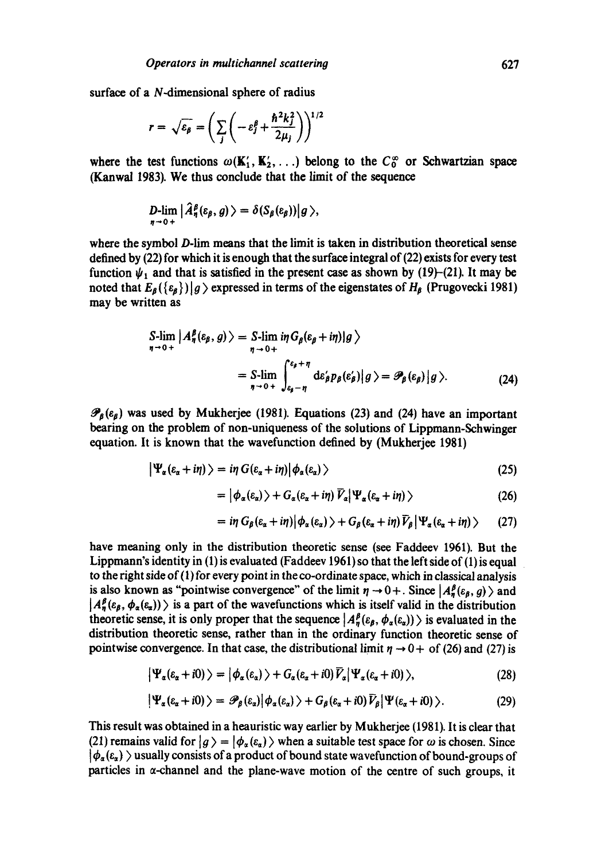surface of a N-dimensional sphere of radius

$$
r = \sqrt{\varepsilon_{\beta}} = \left(\sum_{j} \left(-\varepsilon_{j}^{\beta} + \frac{\hbar^{2}k_{j}^{2}}{2\mu_{j}}\right)\right)^{1/2}
$$

where the test functions  $\omega(\mathbf{K}'_1, \mathbf{K}'_2, \ldots)$  belong to the  $C_0^{\infty}$  or Schwartzian space (Kanwal 1983). We thus conclude that the limit of the sequence

$$
D\text{-}\!\lim_{\eta\to 0+}\big|\widehat{A}^{\beta}_{\eta}(\varepsilon_{\beta}, g)\big\rangle=\delta(S_{\beta}(\varepsilon_{\beta}))\big|g\big\rangle,
$$

where the symbol D-lim means that the limit is taken in distribution theoretical sense defined by (22) for which it is enough that the surface integral of (22) exists for every test function  $\psi_1$  and that is satisfied in the present case as shown by (19)-(21). It may be noted that  $E_{\beta}(\{\varepsilon_{\beta}\})|g\rangle$  expressed in terms of the eigenstates of  $H_{\beta}$  (Prugovecki 1981) may be written as

$$
S\text{-}\lim_{\eta \to 0+} |A_{\eta}^{\beta}(\varepsilon_{\beta}, g) \rangle = S\text{-}\lim_{\eta \to 0+} i\eta G_{\beta}(\varepsilon_{\beta} + i\eta)|g \rangle
$$
  
= 
$$
S\text{-}\lim_{\eta \to 0+} \int_{\varepsilon_{\beta}-\eta}^{\varepsilon_{\beta}+\eta} d\varepsilon_{\beta}' p_{\beta}(\varepsilon_{\beta}') |g \rangle = \mathscr{P}_{\beta}(\varepsilon_{\beta}) |g \rangle.
$$
 (24)

 $\mathcal{P}_{\beta}(\varepsilon_{\beta})$  was used by Mukherjee (1981). Equations (23) and (24) have an important bearing on the problem of non-uniqueness of the solutions of Lippmann-Schwinger equation. It is known that the wavefunction defined by (Mukherjee 1981)

$$
\left|\Psi_{\alpha}(\varepsilon_{\alpha}+i\eta)\right\rangle=i\eta\,G(\varepsilon_{\alpha}+i\eta)\left|\phi_{\alpha}(\varepsilon_{\alpha})\right\rangle\tag{25}
$$

$$
= |\phi_{\alpha}(\varepsilon_{\alpha})\rangle + G_{\alpha}(\varepsilon_{\alpha} + i\eta) \overline{V}_{\alpha} |\Psi_{\alpha}(\varepsilon_{\alpha} + i\eta)\rangle \qquad (26)
$$

$$
= i\eta G_{\beta}(\varepsilon_{\alpha}+i\eta)\big|\phi_{\alpha}(\varepsilon_{\alpha})\rangle + G_{\beta}(\varepsilon_{\alpha}+i\eta)\,\widetilde{V}_{\beta}\big|\Psi_{\alpha}(\varepsilon_{\alpha}+i\eta)\rangle \qquad (27)
$$

have meaning only in the distribution theoretic sense (see Faddeev 1961). But the Lippmann's identity in (1) is evaluated (Faddeev 1961) so that the left side of (1) is equal to the right side of (1) for every point in the co-ordinate space, which in classical analysis is also known as "pointwise convergence" of the limit  $\eta \to 0+$ . Since  $|A^{\beta}_{\eta}(\varepsilon_{\beta}, g)\rangle$  and  $|A^{\beta}_{n}(\varepsilon_{\beta}, \phi_{\alpha}(\varepsilon_{\alpha}))\rangle$  is a part of the wavefunctions which is itself valid in the distribution theoretic sense, it is only proper that the sequence  $|A_h^{\beta}(\varepsilon_{\beta}, \phi_a(\varepsilon_a))\rangle$  is evaluated in the distribution theoretic sense, rather than in the ordinary function theoretic sense of pointwise convergence. In that case, the distributional limit  $\eta \rightarrow 0+$  of (26) and (27) is

$$
\left|\Psi_{\alpha}(\varepsilon_{\alpha}+i0)\right\rangle=\left|\phi_{\alpha}(\varepsilon_{\alpha})\right\rangle+G_{\alpha}(\varepsilon_{\alpha}+i0)\overline{V}_{\alpha}\left|\Psi_{\alpha}(\varepsilon_{\alpha}+i0)\right\rangle,\tag{28}
$$

$$
\left|\Psi_{\alpha}(\varepsilon_{\alpha}+i0)\right\rangle=\mathscr{P}_{\beta}(\varepsilon_{\alpha})\left|\phi_{\alpha}(\varepsilon_{\alpha})\right\rangle+G_{\beta}(\varepsilon_{\alpha}+i0)\bar{V}_{\beta}\left|\Psi(\varepsilon_{\alpha}+i0)\right\rangle.\tag{29}
$$

This result was obtained in a heauristic way earlier by Mukherjee (1981). It is clear that (21) remains valid for  $|g\rangle = |\phi_{\alpha}(\varepsilon_{\alpha})\rangle$  when a suitable test space for  $\omega$  is chosen. Since  $|\phi_{\alpha}(\epsilon_{\alpha})\rangle$  usually consists of a product of bound state wavefunction of bound-groups of particles in  $\alpha$ -channel and the plane-wave motion of the centre of such groups, it